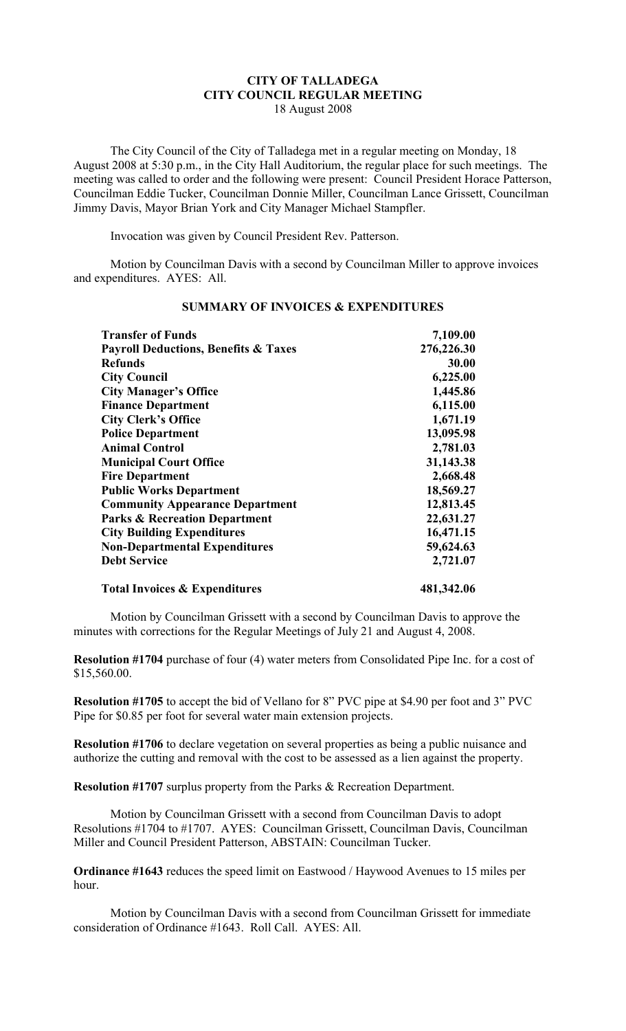## **CITY OF TALLADEGA CITY COUNCIL REGULAR MEETING** 18 August 2008

The City Council of the City of Talladega met in a regular meeting on Monday, 18 August 2008 at 5:30 p.m., in the City Hall Auditorium, the regular place for such meetings. The meeting was called to order and the following were present: Council President Horace Patterson, Councilman Eddie Tucker, Councilman Donnie Miller, Councilman Lance Grissett, Councilman Jimmy Davis, Mayor Brian York and City Manager Michael Stampfler.

Invocation was given by Council President Rev. Patterson.

Motion by Councilman Davis with a second by Councilman Miller to approve invoices and expenditures. AYES: All.

| <b>Transfer of Funds</b><br><b>Payroll Deductions, Benefits &amp; Taxes</b><br><b>Refunds</b><br><b>City Council</b><br><b>City Manager's Office</b> | 7,109.00<br>276,226.30<br>30.00<br>6,225.00<br>1,445.86 |                                                                                                                                                                              |                                                                         |                                          |           |
|------------------------------------------------------------------------------------------------------------------------------------------------------|---------------------------------------------------------|------------------------------------------------------------------------------------------------------------------------------------------------------------------------------|-------------------------------------------------------------------------|------------------------------------------|-----------|
|                                                                                                                                                      |                                                         | <b>Finance Department</b>                                                                                                                                                    | 6,115.00                                                                |                                          |           |
|                                                                                                                                                      |                                                         | <b>City Clerk's Office</b><br><b>Police Department</b><br><b>Animal Control</b><br><b>Municipal Court Office</b><br><b>Fire Department</b><br><b>Public Works Department</b> | 1,671.19<br>13,095.98<br>2,781.03<br>31,143.38<br>2,668.48<br>18,569.27 |                                          |           |
|                                                                                                                                                      |                                                         |                                                                                                                                                                              |                                                                         | <b>Community Appearance Department</b>   | 12,813.45 |
|                                                                                                                                                      |                                                         |                                                                                                                                                                              |                                                                         | <b>Parks &amp; Recreation Department</b> | 22,631.27 |
| <b>City Building Expenditures</b>                                                                                                                    | 16,471.15                                               |                                                                                                                                                                              |                                                                         |                                          |           |
| <b>Non-Departmental Expenditures</b>                                                                                                                 | 59,624.63                                               |                                                                                                                                                                              |                                                                         |                                          |           |
| <b>Debt Service</b>                                                                                                                                  | 2,721.07                                                |                                                                                                                                                                              |                                                                         |                                          |           |
| <b>Total Invoices &amp; Expenditures</b>                                                                                                             | 481,342.06                                              |                                                                                                                                                                              |                                                                         |                                          |           |

## **SUMMARY OF INVOICES & EXPENDITURES**

Motion by Councilman Grissett with a second by Councilman Davis to approve the minutes with corrections for the Regular Meetings of July 21 and August 4, 2008.

**Resolution #1704** purchase of four (4) water meters from Consolidated Pipe Inc. for a cost of \$15,560.00.

**Resolution #1705** to accept the bid of Vellano for 8" PVC pipe at \$4.90 per foot and 3" PVC Pipe for \$0.85 per foot for several water main extension projects.

**Resolution #1706** to declare vegetation on several properties as being a public nuisance and authorize the cutting and removal with the cost to be assessed as a lien against the property.

**Resolution #1707** surplus property from the Parks & Recreation Department.

Motion by Councilman Grissett with a second from Councilman Davis to adopt Resolutions #1704 to #1707. AYES: Councilman Grissett, Councilman Davis, Councilman Miller and Council President Patterson, ABSTAIN: Councilman Tucker.

**Ordinance #1643** reduces the speed limit on Eastwood / Haywood Avenues to 15 miles per hour.

Motion by Councilman Davis with a second from Councilman Grissett for immediate consideration of Ordinance #1643. Roll Call. AYES: All.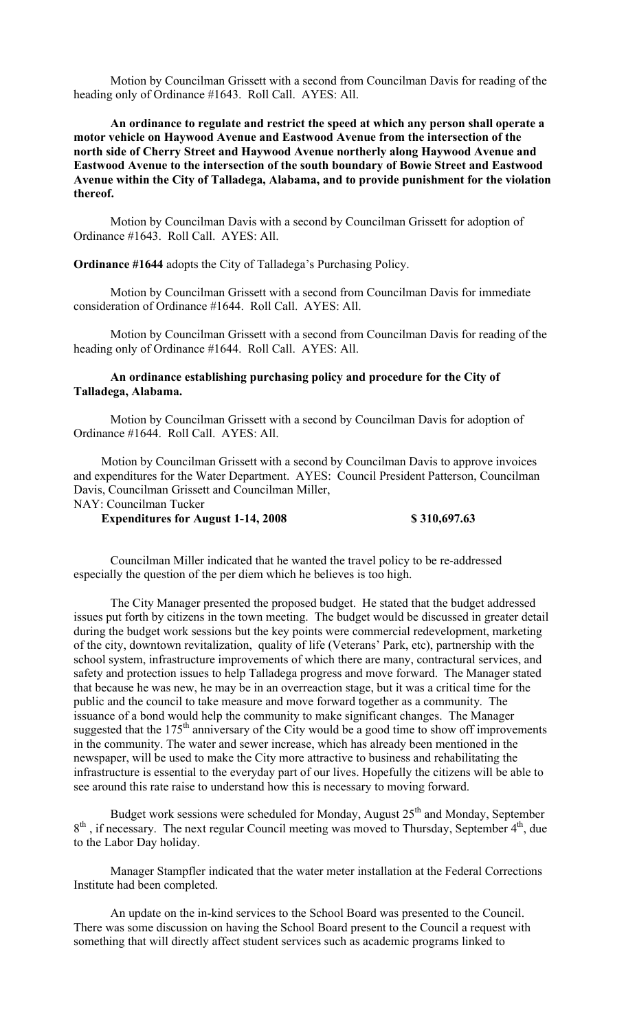Motion by Councilman Grissett with a second from Councilman Davis for reading of the heading only of Ordinance #1643. Roll Call. AYES: All.

**An ordinance to regulate and restrict the speed at which any person shall operate a motor vehicle on Haywood Avenue and Eastwood Avenue from the intersection of the north side of Cherry Street and Haywood Avenue northerly along Haywood Avenue and Eastwood Avenue to the intersection of the south boundary of Bowie Street and Eastwood Avenue within the City of Talladega, Alabama, and to provide punishment for the violation thereof.**

Motion by Councilman Davis with a second by Councilman Grissett for adoption of Ordinance #1643. Roll Call. AYES: All.

**Ordinance #1644** adopts the City of Talladega's Purchasing Policy.

Motion by Councilman Grissett with a second from Councilman Davis for immediate consideration of Ordinance #1644. Roll Call. AYES: All.

Motion by Councilman Grissett with a second from Councilman Davis for reading of the heading only of Ordinance #1644. Roll Call. AYES: All.

## **An ordinance establishing purchasing policy and procedure for the City of Talladega, Alabama.**

Motion by Councilman Grissett with a second by Councilman Davis for adoption of Ordinance #1644. Roll Call. AYES: All.

Motion by Councilman Grissett with a second by Councilman Davis to approve invoices and expenditures for the Water Department. AYES: Council President Patterson, Councilman Davis, Councilman Grissett and Councilman Miller, NAY: Councilman Tucker

**Expenditures for August 1-14, 2008 \$ 310,697.63**

Councilman Miller indicated that he wanted the travel policy to be re-addressed especially the question of the per diem which he believes is too high.

The City Manager presented the proposed budget. He stated that the budget addressed issues put forth by citizens in the town meeting. The budget would be discussed in greater detail during the budget work sessions but the key points were commercial redevelopment, marketing of the city, downtown revitalization, quality of life (Veterans' Park, etc), partnership with the school system, infrastructure improvements of which there are many, contractural services, and safety and protection issues to help Talladega progress and move forward. The Manager stated that because he was new, he may be in an overreaction stage, but it was a critical time for the public and the council to take measure and move forward together as a community. The issuance of a bond would help the community to make significant changes. The Manager suggested that the  $175<sup>th</sup>$  anniversary of the City would be a good time to show off improvements in the community. The water and sewer increase, which has already been mentioned in the newspaper, will be used to make the City more attractive to business and rehabilitating the infrastructure is essential to the everyday part of our lives. Hopefully the citizens will be able to see around this rate raise to understand how this is necessary to moving forward.

Budget work sessions were scheduled for Monday, August  $25<sup>th</sup>$  and Monday, September  $8<sup>th</sup>$ , if necessary. The next regular Council meeting was moved to Thursday, September  $4<sup>th</sup>$ , due to the Labor Day holiday.

Manager Stampfler indicated that the water meter installation at the Federal Corrections Institute had been completed.

An update on the in-kind services to the School Board was presented to the Council. There was some discussion on having the School Board present to the Council a request with something that will directly affect student services such as academic programs linked to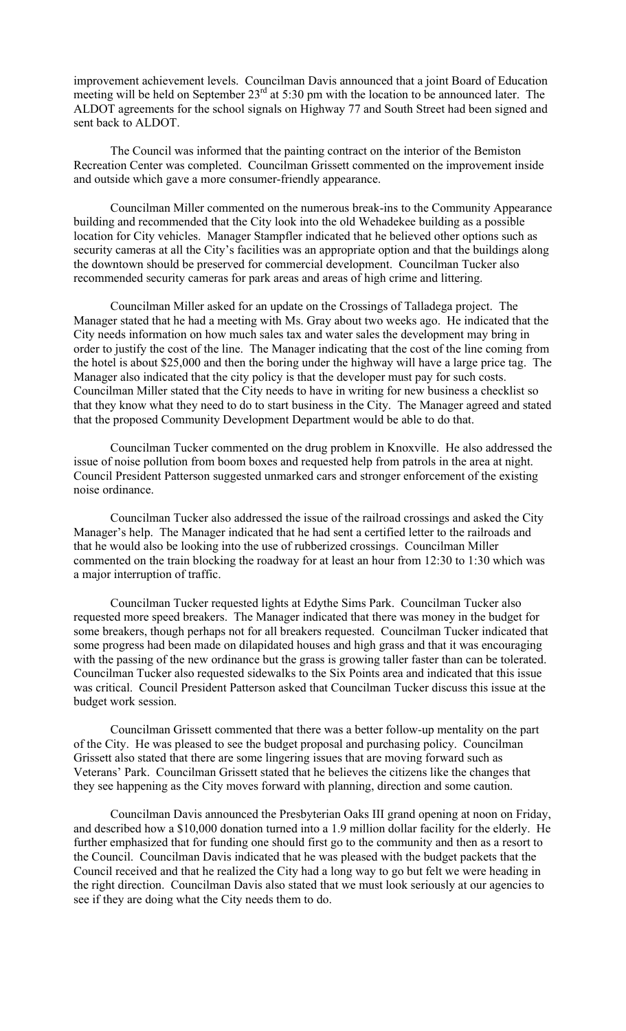improvement achievement levels. Councilman Davis announced that a joint Board of Education meeting will be held on September  $23<sup>rd</sup>$  at 5:30 pm with the location to be announced later. The ALDOT agreements for the school signals on Highway 77 and South Street had been signed and sent back to ALDOT.

The Council was informed that the painting contract on the interior of the Bemiston Recreation Center was completed. Councilman Grissett commented on the improvement inside and outside which gave a more consumer-friendly appearance.

Councilman Miller commented on the numerous break-ins to the Community Appearance building and recommended that the City look into the old Wehadekee building as a possible location for City vehicles. Manager Stampfler indicated that he believed other options such as security cameras at all the City's facilities was an appropriate option and that the buildings along the downtown should be preserved for commercial development. Councilman Tucker also recommended security cameras for park areas and areas of high crime and littering.

Councilman Miller asked for an update on the Crossings of Talladega project. The Manager stated that he had a meeting with Ms. Gray about two weeks ago. He indicated that the City needs information on how much sales tax and water sales the development may bring in order to justify the cost of the line. The Manager indicating that the cost of the line coming from the hotel is about \$25,000 and then the boring under the highway will have a large price tag. The Manager also indicated that the city policy is that the developer must pay for such costs. Councilman Miller stated that the City needs to have in writing for new business a checklist so that they know what they need to do to start business in the City. The Manager agreed and stated that the proposed Community Development Department would be able to do that.

Councilman Tucker commented on the drug problem in Knoxville. He also addressed the issue of noise pollution from boom boxes and requested help from patrols in the area at night. Council President Patterson suggested unmarked cars and stronger enforcement of the existing noise ordinance.

Councilman Tucker also addressed the issue of the railroad crossings and asked the City Manager's help. The Manager indicated that he had sent a certified letter to the railroads and that he would also be looking into the use of rubberized crossings. Councilman Miller commented on the train blocking the roadway for at least an hour from 12:30 to 1:30 which was a major interruption of traffic.

Councilman Tucker requested lights at Edythe Sims Park. Councilman Tucker also requested more speed breakers. The Manager indicated that there was money in the budget for some breakers, though perhaps not for all breakers requested. Councilman Tucker indicated that some progress had been made on dilapidated houses and high grass and that it was encouraging with the passing of the new ordinance but the grass is growing taller faster than can be tolerated. Councilman Tucker also requested sidewalks to the Six Points area and indicated that this issue was critical. Council President Patterson asked that Councilman Tucker discuss this issue at the budget work session.

Councilman Grissett commented that there was a better follow-up mentality on the part of the City. He was pleased to see the budget proposal and purchasing policy. Councilman Grissett also stated that there are some lingering issues that are moving forward such as Veterans' Park. Councilman Grissett stated that he believes the citizens like the changes that they see happening as the City moves forward with planning, direction and some caution.

Councilman Davis announced the Presbyterian Oaks III grand opening at noon on Friday, and described how a \$10,000 donation turned into a 1.9 million dollar facility for the elderly. He further emphasized that for funding one should first go to the community and then as a resort to the Council. Councilman Davis indicated that he was pleased with the budget packets that the Council received and that he realized the City had a long way to go but felt we were heading in the right direction. Councilman Davis also stated that we must look seriously at our agencies to see if they are doing what the City needs them to do.